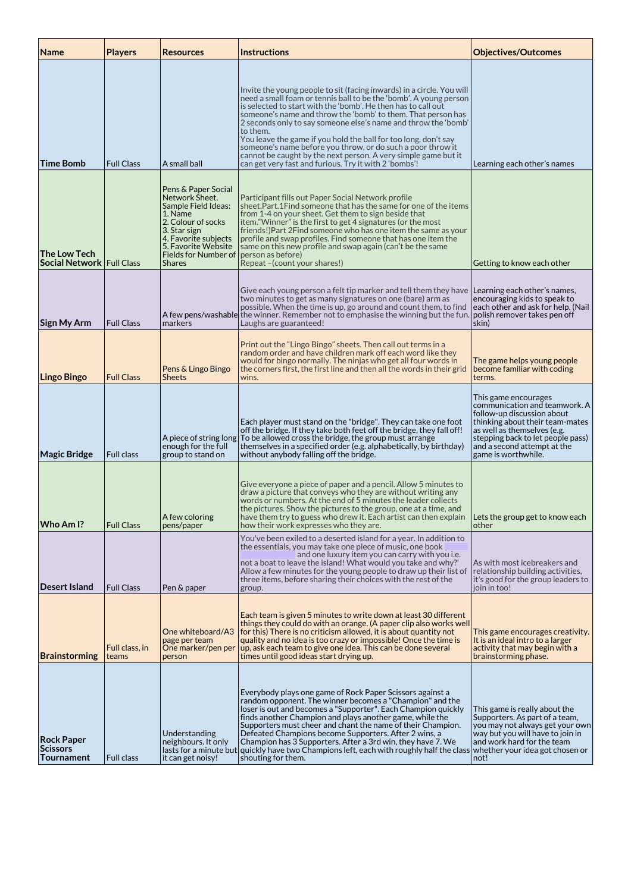| Name                                               | <b>Players</b>          | <b>Resources</b>                                                                                                                                                                                      | <b>Instructions</b>                                                                                                                                                                                                                                                                                                                                                                                                                                                                                                                                                                                                    | <b>Objectives/Outcomes</b>                                                                                                                                                                                                                          |
|----------------------------------------------------|-------------------------|-------------------------------------------------------------------------------------------------------------------------------------------------------------------------------------------------------|------------------------------------------------------------------------------------------------------------------------------------------------------------------------------------------------------------------------------------------------------------------------------------------------------------------------------------------------------------------------------------------------------------------------------------------------------------------------------------------------------------------------------------------------------------------------------------------------------------------------|-----------------------------------------------------------------------------------------------------------------------------------------------------------------------------------------------------------------------------------------------------|
| Time Bomb                                          | <b>Full Class</b>       | A small ball                                                                                                                                                                                          | Invite the young people to sit (facing inwards) in a circle. You will<br>need a small foam or tennis ball to be the 'bomb'. A young person<br>is selected to start with the 'bomb'. He then has to call out<br>someone's name and throw the 'bomb' to them. That person has<br>2 seconds only to say someone else's name and throw the 'bomb'<br>to them.<br>You leave the game if you hold the ball for too long, don't say<br>someone's name before you throw, or do such a poor throw it<br>cannot be caught by the next person. A very simple game but it<br>can get very fast and furious. Try it with 2 'bombs'! | Learning each other's names                                                                                                                                                                                                                         |
| The Low Tech<br><b>Social Network   Full Class</b> |                         | Pens & Paper Social<br>Network Sheet.<br>Sample Field Ideas:<br>1. Name<br>2. Colour of socks<br>3. Star sign<br>4. Favorite subjects<br>5. Favorite Website<br>Fields for Number of<br><b>Shares</b> | Participant fills out Paper Social Network profile<br>sheet.Part.1Find someone that has the same for one of the items<br>from 1-4 on your sheet. Get them to sign beside that<br>item. "Winner" is the first to get 4 signatures (or the most<br>friends!) Part 2 Find someone who has one item the same as your<br>profile and swap profiles. Find someone that has one item the<br>same on this new profile and swap again (can't be the same<br>person as before)<br>Repeat - (count your shares!)                                                                                                                  | Getting to know each other                                                                                                                                                                                                                          |
| Sign My Arm                                        | <b>Full Class</b>       | markers                                                                                                                                                                                               | Give each young person a felt tip marker and tell them they have   Learning each other's names,<br>two minutes to get as many signatures on one (bare) arm as<br>possible. When the time is up, go around and count them, to find<br>A few pens/washable  the winner. Remember not to emphasise the winning but the fun.<br>Laughs are guaranteed!                                                                                                                                                                                                                                                                     | encouraging kids to speak to<br>each other and ask for help. (Nail<br>polish remover takes pen off<br>skin)                                                                                                                                         |
| Lingo Bingo                                        | <b>Full Class</b>       | Pens & Lingo Bingo<br><b>Sheets</b>                                                                                                                                                                   | Print out the "Lingo Bingo" sheets. Then call out terms in a<br>random order and have children mark off each word like they<br>would for bingo normally. The ninjas who get all four words in<br>the corners first, the first line and then all the words in their grid<br>wins.                                                                                                                                                                                                                                                                                                                                       | The game helps young people<br>become familiar with coding<br>terms.                                                                                                                                                                                |
| <b>Magic Bridge</b>                                | <b>Full class</b>       | enough for the full<br>group to stand on                                                                                                                                                              | Each player must stand on the "bridge". They can take one foot<br>off the bridge. If they take both feet off the bridge, they fall off!<br>A piece of string long   To be allowed cross the bridge, the group must arrange<br>themselves in a specified order (e.g. alphabetically, by birthday)<br>without anybody falling off the bridge.                                                                                                                                                                                                                                                                            | This game encourages<br>$commandication$ and teamwork. A<br>follow-up discussion about<br>thinking about their team-mates<br>as well as themselves (e.g.<br>stepping back to let people pass)<br>and a second attempt at the<br>game is worthwhile. |
| Who Am I?                                          | <b>Full Class</b>       | A few coloring<br>pens/paper                                                                                                                                                                          | Give everyone a piece of paper and a pencil. Allow 5 minutes to<br>draw a picture that conveys who they are without writing any<br>words or numbers. At the end of 5 minutes the leader collects<br>the pictures. Show the pictures to the group, one at a time, and<br>have them try to guess who drew it. Each artist can then explain Lets the group get to know each<br>how their work expresses who they are.                                                                                                                                                                                                     | other                                                                                                                                                                                                                                               |
| <b>Desert Island</b>                               | <b>Full Class</b>       | Pen & paper                                                                                                                                                                                           | You've been exiled to a deserted island for a year. In addition to<br>the essentials, you may take one piece of music, one book<br>and one luxury item you can carry with you i.e.<br>not a boat to leave the island! What would you take and why?'<br>Allow a few minutes for the young people to draw up their list of<br>three items, before sharing their choices with the rest of the<br>group.                                                                                                                                                                                                                   | As with most icebreakers and<br>relationship building activities,<br>it's good for the group leaders to<br>ioin in too!                                                                                                                             |
| <b>Brainstorming</b>                               | Full class, in<br>teams | One whiteboard/A3<br>page per team<br>One marker/pen per<br>person                                                                                                                                    | Each team is given 5 minutes to write down at least 30 different<br>things they could do with an orange. (A paper clip also works well<br>for this) There is no criticism allowed, it is about quantity not<br>quality and no idea is too crazy or impossible! Once the time is<br>up, ask each team to give one idea. This can be done several<br>times until good ideas start drying up.                                                                                                                                                                                                                             | This game encourages creativity.<br>It is an ideal intro to a larger<br>activity that may begin with a<br>brainstorming phase.                                                                                                                      |
| <b>Rock Paper</b><br>Scissors<br>Tournament        | <b>Full class</b>       | Understanding<br>neighbours. It only<br>it can get noisy!                                                                                                                                             | Everybody plays one game of Rock Paper Scissors against a<br>random opponent. The winner becomes a "Champion" and the<br>loser is out and becomes a "Supporter". Each Champion quickly<br>finds another Champion and plays another game, while the<br>Supporters must cheer and chant the name of their Champion.<br>Defeated Champions become Supporters. After 2 wins, a<br>Champion has 3 Supporters. After a 3rd win, they have 7. We<br>lasts for a minute but quickly have two Champions left, each with roughly half the class<br>shouting for them.                                                            | This game is really about the<br>Supporters. As part of a team,<br>you may not always get your own<br>way but you will have to join in<br>and work hard for the team<br>whether your idea got chosen or<br>not!                                     |